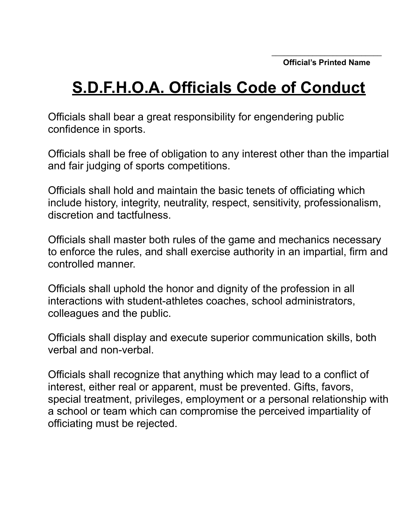## **S.D.F.H.O.A. Officials Code of Conduct**

Officials shall bear a great responsibility for engendering public confidence in sports.

Officials shall be free of obligation to any interest other than the impartial and fair judging of sports competitions.

Officials shall hold and maintain the basic tenets of officiating which include history, integrity, neutrality, respect, sensitivity, professionalism, discretion and tactfulness.

Officials shall master both rules of the game and mechanics necessary to enforce the rules, and shall exercise authority in an impartial, firm and controlled manner.

Officials shall uphold the honor and dignity of the profession in all interactions with student-athletes coaches, school administrators, colleagues and the public.

Officials shall display and execute superior communication skills, both verbal and non-verbal.

Officials shall recognize that anything which may lead to a conflict of interest, either real or apparent, must be prevented. Gifts, favors, special treatment, privileges, employment or a personal relationship with a school or team which can compromise the perceived impartiality of officiating must be rejected.